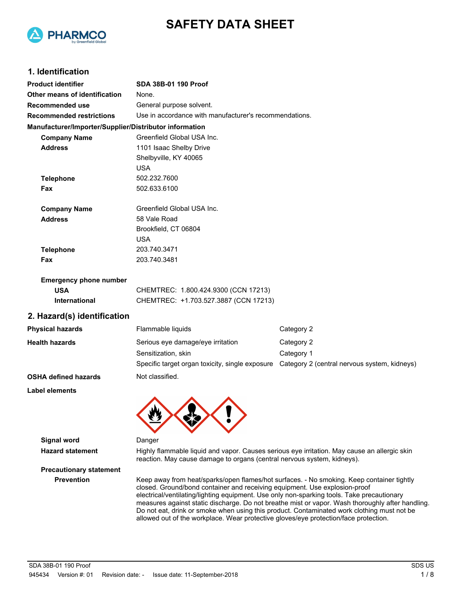



# **1. Identification**

| <b>Product identifier</b>                              | SDA 38B-01 190 Proof                                                                          |            |  |
|--------------------------------------------------------|-----------------------------------------------------------------------------------------------|------------|--|
| Other means of identification                          | None.                                                                                         |            |  |
| Recommended use                                        | General purpose solvent.                                                                      |            |  |
| <b>Recommended restrictions</b>                        | Use in accordance with manufacturer's recommendations.                                        |            |  |
| Manufacturer/Importer/Supplier/Distributor information |                                                                                               |            |  |
| <b>Company Name</b>                                    | Greenfield Global USA Inc.                                                                    |            |  |
| <b>Address</b>                                         | 1101 Isaac Shelby Drive                                                                       |            |  |
|                                                        | Shelbyville, KY 40065                                                                         |            |  |
|                                                        | <b>USA</b>                                                                                    |            |  |
| <b>Telephone</b>                                       | 502.232.7600                                                                                  |            |  |
| Fax                                                    | 502.633.6100                                                                                  |            |  |
| <b>Company Name</b>                                    | Greenfield Global USA Inc.                                                                    |            |  |
| <b>Address</b>                                         | 58 Vale Road                                                                                  |            |  |
|                                                        | Brookfield, CT 06804                                                                          |            |  |
|                                                        | <b>USA</b>                                                                                    |            |  |
| <b>Telephone</b>                                       | 203.740.3471                                                                                  |            |  |
| Fax                                                    | 203.740.3481                                                                                  |            |  |
| <b>Emergency phone number</b>                          |                                                                                               |            |  |
| <b>USA</b>                                             | CHEMTREC: 1.800.424.9300 (CCN 17213)                                                          |            |  |
| International                                          | CHEMTREC: +1.703.527.3887 (CCN 17213)                                                         |            |  |
| 2. Hazard(s) identification                            |                                                                                               |            |  |
| <b>Physical hazards</b>                                | Flammable liquids                                                                             | Category 2 |  |
| <b>Health hazards</b>                                  | Serious eye damage/eye irritation                                                             | Category 2 |  |
|                                                        | Sensitization, skin                                                                           | Category 1 |  |
|                                                        | Specific target organ toxicity, single exposure  Category 2 (central nervous system, kidneys) |            |  |
| <b>OSHA defined hazards</b>                            | Not classified.                                                                               |            |  |
| <b>Label elements</b>                                  |                                                                                               |            |  |
|                                                        |                                                                                               |            |  |
|                                                        |                                                                                               |            |  |



**Hazard statement** Highly flammable liquid and vapor. Causes serious eye irritation. May cause an allergic skin reaction. May cause damage to organs (central nervous system, kidneys).

# **Precautionary statement**

**Prevention** Keep away from heat/sparks/open flames/hot surfaces. - No smoking. Keep container tightly closed. Ground/bond container and receiving equipment. Use explosion-proof electrical/ventilating/lighting equipment. Use only non-sparking tools. Take precautionary measures against static discharge. Do not breathe mist or vapor. Wash thoroughly after handling. Do not eat, drink or smoke when using this product. Contaminated work clothing must not be allowed out of the workplace. Wear protective gloves/eye protection/face protection.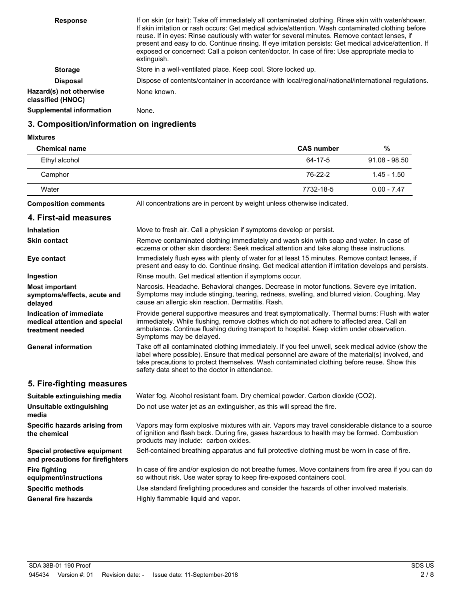| exposed or concerned: Call a poison center/doctor. In case of fire: Use appropriate media to<br>extinguish.            | If on skin (or hair): Take off immediately all contaminated clothing. Rinse skin with water/shower.<br>If skin irritation or rash occurs: Get medical advice/attention. Wash contaminated clothing before<br>reuse. If in eyes: Rinse cautiously with water for several minutes. Remove contact lenses, if<br>present and easy to do. Continue rinsing. If eye irritation persists: Get medical advice/attention. If |
|------------------------------------------------------------------------------------------------------------------------|----------------------------------------------------------------------------------------------------------------------------------------------------------------------------------------------------------------------------------------------------------------------------------------------------------------------------------------------------------------------------------------------------------------------|
| Store in a well-ventilated place. Keep cool. Store locked up.<br><b>Storage</b>                                        |                                                                                                                                                                                                                                                                                                                                                                                                                      |
| Dispose of contents/container in accordance with local/regional/national/international regulations.<br><b>Disposal</b> |                                                                                                                                                                                                                                                                                                                                                                                                                      |
| Hazard(s) not otherwise<br>None known.<br>classified (HNOC)                                                            |                                                                                                                                                                                                                                                                                                                                                                                                                      |
| <b>Supplemental information</b><br>None.                                                                               |                                                                                                                                                                                                                                                                                                                                                                                                                      |

# **3. Composition/information on ingredients**

#### **Mixtures**

| <b>Chemical name</b> | <b>CAS number</b> | %               |
|----------------------|-------------------|-----------------|
| Ethyl alcohol        | 64-17-5           | $91.08 - 98.50$ |
| Camphor              | 76-22-2           | $1.45 - 1.50$   |
| Water                | 7732-18-5         | $0.00 - 7.47$   |
|                      |                   |                 |

**Composition comments** All concentrations are in percent by weight unless otherwise indicated.

| 4. First-aid measures                                                        |                                                                                                                                                                                                                                                                                                                                                      |
|------------------------------------------------------------------------------|------------------------------------------------------------------------------------------------------------------------------------------------------------------------------------------------------------------------------------------------------------------------------------------------------------------------------------------------------|
| <b>Inhalation</b>                                                            | Move to fresh air. Call a physician if symptoms develop or persist.                                                                                                                                                                                                                                                                                  |
| <b>Skin contact</b>                                                          | Remove contaminated clothing immediately and wash skin with soap and water. In case of<br>eczema or other skin disorders: Seek medical attention and take along these instructions.                                                                                                                                                                  |
| Eye contact                                                                  | Immediately flush eyes with plenty of water for at least 15 minutes. Remove contact lenses, if<br>present and easy to do. Continue rinsing. Get medical attention if irritation develops and persists.                                                                                                                                               |
| Ingestion                                                                    | Rinse mouth. Get medical attention if symptoms occur.                                                                                                                                                                                                                                                                                                |
| <b>Most important</b><br>symptoms/effects, acute and<br>delayed              | Narcosis. Headache. Behavioral changes. Decrease in motor functions. Severe eye irritation.<br>Symptoms may include stinging, tearing, redness, swelling, and blurred vision. Coughing. May<br>cause an allergic skin reaction. Dermatitis. Rash.                                                                                                    |
| Indication of immediate<br>medical attention and special<br>treatment needed | Provide general supportive measures and treat symptomatically. Thermal burns: Flush with water<br>immediately. While flushing, remove clothes which do not adhere to affected area. Call an<br>ambulance. Continue flushing during transport to hospital. Keep victim under observation.<br>Symptoms may be delayed.                                 |
| <b>General information</b>                                                   | Take off all contaminated clothing immediately. If you feel unwell, seek medical advice (show the<br>label where possible). Ensure that medical personnel are aware of the material(s) involved, and<br>take precautions to protect themselves. Wash contaminated clothing before reuse. Show this<br>safety data sheet to the doctor in attendance. |
| 5. Fire-fighting measures                                                    |                                                                                                                                                                                                                                                                                                                                                      |
| Suitable extinguishing media                                                 | Water fog. Alcohol resistant foam. Dry chemical powder. Carbon dioxide (CO2).                                                                                                                                                                                                                                                                        |
| Unsuitable extinguishing<br>media                                            | Do not use water jet as an extinguisher, as this will spread the fire.                                                                                                                                                                                                                                                                               |
| Specific hazards arising from                                                | Vapors may form explosive mixtures with air. Vapors may travel considerable distance to a source                                                                                                                                                                                                                                                     |

so without risk. Use water spray to keep fire-exposed containers cool.

In case of fire and/or explosion do not breathe fumes. Move containers from fire area if you can do

of ignition and flash back. During fire, gases hazardous to health may be formed. Combustion products may include: carbon oxides. **Specific hazards arising from the chemical**

**Special protective equipment** Self-contained breathing apparatus and full protective clothing must be worn in case of fire. **and precautions for firefighters**

**Fire fighting equipment/instructions**

**Specific methods** Use standard firefighting procedures and consider the hazards of other involved materials.

**General fire hazards** Highly flammable liquid and vapor.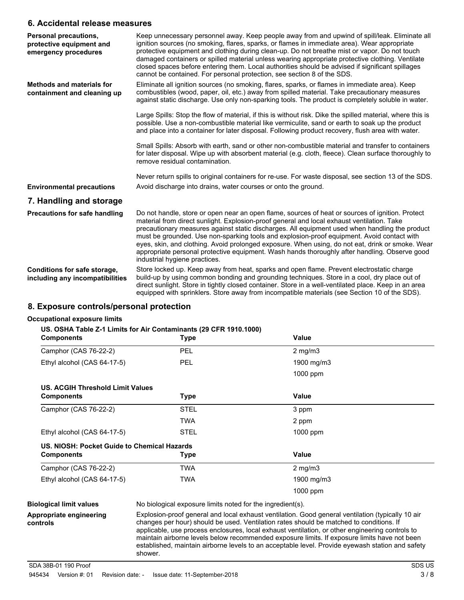### **6. Accidental release measures**

| Personal precautions,<br>protective equipment and<br>emergency procedures | Keep unnecessary personnel away. Keep people away from and upwind of spill/leak. Eliminate all<br>ignition sources (no smoking, flares, sparks, or flames in immediate area). Wear appropriate<br>protective equipment and clothing during clean-up. Do not breathe mist or vapor. Do not touch<br>damaged containers or spilled material unless wearing appropriate protective clothing. Ventilate<br>closed spaces before entering them. Local authorities should be advised if significant spillages<br>cannot be contained. For personal protection, see section 8 of the SDS.                                                   |
|---------------------------------------------------------------------------|--------------------------------------------------------------------------------------------------------------------------------------------------------------------------------------------------------------------------------------------------------------------------------------------------------------------------------------------------------------------------------------------------------------------------------------------------------------------------------------------------------------------------------------------------------------------------------------------------------------------------------------|
| <b>Methods and materials for</b><br>containment and cleaning up           | Eliminate all ignition sources (no smoking, flares, sparks, or flames in immediate area). Keep<br>combustibles (wood, paper, oil, etc.) away from spilled material. Take precautionary measures<br>against static discharge. Use only non-sparking tools. The product is completely soluble in water.                                                                                                                                                                                                                                                                                                                                |
|                                                                           | Large Spills: Stop the flow of material, if this is without risk. Dike the spilled material, where this is<br>possible. Use a non-combustible material like vermiculite, sand or earth to soak up the product<br>and place into a container for later disposal. Following product recovery, flush area with water.                                                                                                                                                                                                                                                                                                                   |
|                                                                           | Small Spills: Absorb with earth, sand or other non-combustible material and transfer to containers<br>for later disposal. Wipe up with absorbent material (e.g. cloth, fleece). Clean surface thoroughly to<br>remove residual contamination.                                                                                                                                                                                                                                                                                                                                                                                        |
|                                                                           | Never return spills to original containers for re-use. For waste disposal, see section 13 of the SDS.                                                                                                                                                                                                                                                                                                                                                                                                                                                                                                                                |
| <b>Environmental precautions</b>                                          | Avoid discharge into drains, water courses or onto the ground.                                                                                                                                                                                                                                                                                                                                                                                                                                                                                                                                                                       |
| 7. Handling and storage                                                   |                                                                                                                                                                                                                                                                                                                                                                                                                                                                                                                                                                                                                                      |
| <b>Precautions for safe handling</b>                                      | Do not handle, store or open near an open flame, sources of heat or sources of ignition. Protect<br>material from direct sunlight. Explosion-proof general and local exhaust ventilation. Take<br>precautionary measures against static discharges. All equipment used when handling the product<br>must be grounded. Use non-sparking tools and explosion-proof equipment. Avoid contact with<br>eyes, skin, and clothing. Avoid prolonged exposure. When using, do not eat, drink or smoke. Wear<br>appropriate personal protective equipment. Wash hands thoroughly after handling. Observe good<br>industrial hygiene practices. |
| Conditions for safe storage,<br>including any incompatibilities           | Store locked up. Keep away from heat, sparks and open flame. Prevent electrostatic charge<br>build-up by using common bonding and grounding techniques. Store in a cool, dry place out of<br>direct sunlight. Store in tightly closed container. Store in a well-ventilated place. Keep in an area<br>equipped with sprinklers. Store away from incompatible materials (see Section 10 of the SDS).                                                                                                                                                                                                                                  |

# **8. Exposure controls/personal protection**

#### **Occupational exposure limits**

### **US. OSHA Table Z-1 Limits for Air Contaminants (29 CFR 1910.1000)**

| <b>Components</b>                           | Type                                                       | Value                                                                                             |  |
|---------------------------------------------|------------------------------------------------------------|---------------------------------------------------------------------------------------------------|--|
| Camphor (CAS 76-22-2)                       | <b>PEL</b>                                                 | $2$ mg/m $3$                                                                                      |  |
| Ethyl alcohol (CAS 64-17-5)                 | <b>PEL</b>                                                 | 1900 mg/m3                                                                                        |  |
|                                             |                                                            | 1000 ppm                                                                                          |  |
| US. ACGIH Threshold Limit Values            |                                                            |                                                                                                   |  |
| <b>Components</b>                           | Type                                                       | Value                                                                                             |  |
| Camphor (CAS 76-22-2)                       | <b>STEL</b>                                                | 3 ppm                                                                                             |  |
|                                             | TWA                                                        | 2 ppm                                                                                             |  |
| Ethyl alcohol (CAS 64-17-5)                 | <b>STEL</b>                                                | 1000 ppm                                                                                          |  |
| US. NIOSH: Pocket Guide to Chemical Hazards |                                                            |                                                                                                   |  |
| <b>Components</b>                           | Type                                                       | Value                                                                                             |  |
| Camphor (CAS 76-22-2)                       | TWA                                                        | $2 \text{ mg/m}$ 3                                                                                |  |
| Ethyl alcohol (CAS 64-17-5)                 | TWA                                                        | 1900 mg/m3                                                                                        |  |
|                                             |                                                            | 1000 ppm                                                                                          |  |
| <b>Biological limit values</b>              | No biological exposure limits noted for the ingredient(s). |                                                                                                   |  |
| Appropriate engineering                     |                                                            | Explosion-proof general and local exhaust ventilation. Good general ventilation (typically 10 air |  |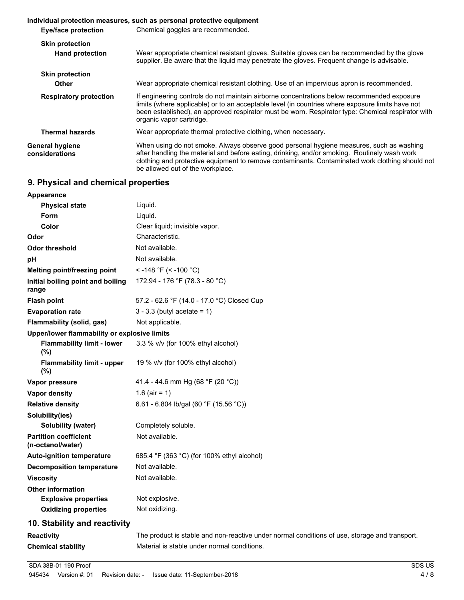#### **Individual protection measures, such as personal protective equipment Eye/face protection** Chemical goggles are recommended. **Skin protection** Wear appropriate chemical resistant gloves. Suitable gloves can be recommended by the glove supplier. Be aware that the liquid may penetrate the gloves. Frequent change is advisable. **Hand protection Skin protection Other** Wear appropriate chemical resistant clothing. Use of an impervious apron is recommended. If engineering controls do not maintain airborne concentrations below recommended exposure limits (where applicable) or to an acceptable level (in countries where exposure limits have not been established), an approved respirator must be worn. Respirator type: Chemical respirator with organic vapor cartridge. **Respiratory protection Thermal hazards** Wear appropriate thermal protective clothing, when necessary. When using do not smoke. Always observe good personal hygiene measures, such as washing after handling the material and before eating, drinking, and/or smoking. Routinely wash work clothing and protective equipment to remove contaminants. Contaminated work clothing should not be allowed out of the workplace. **General hygiene considerations**

# **9. Physical and chemical properties**

| Appearance                                        |                                            |
|---------------------------------------------------|--------------------------------------------|
| <b>Physical state</b>                             | Liquid.                                    |
| Form                                              | Liquid.                                    |
| Color                                             | Clear liquid; invisible vapor.             |
| Odor                                              | Characteristic.                            |
| <b>Odor threshold</b>                             | Not available.                             |
| рH                                                | Not available.                             |
| Melting point/freezing point                      | < -148 °F (< -100 °C)                      |
| Initial boiling point and boiling<br>range        | 172.94 - 176 °F (78.3 - 80 °C)             |
| <b>Flash point</b>                                | 57.2 - 62.6 °F (14.0 - 17.0 °C) Closed Cup |
| <b>Evaporation rate</b>                           | $3 - 3.3$ (butyl acetate = 1)              |
| <b>Flammability (solid, gas)</b>                  | Not applicable.                            |
| Upper/lower flammability or explosive limits      |                                            |
| <b>Flammability limit - lower</b><br>(%)          | 3.3 % v/v (for 100% ethyl alcohol)         |
| <b>Flammability limit - upper</b><br>(%)          | 19 % v/v (for 100% ethyl alcohol)          |
| Vapor pressure                                    | 41.4 - 44.6 mm Hg (68 °F (20 °C))          |
| <b>Vapor density</b>                              | $1.6$ (air = 1)                            |
| <b>Relative density</b>                           | 6.61 - 6.804 lb/gal (60 °F (15.56 °C))     |
| Solubility(ies)                                   |                                            |
| <b>Solubility (water)</b>                         | Completely soluble.                        |
| <b>Partition coefficient</b><br>(n-octanol/water) | Not available.                             |
| <b>Auto-ignition temperature</b>                  | 685.4 °F (363 °C) (for 100% ethyl alcohol) |
| <b>Decomposition temperature</b>                  | Not available.                             |
| <b>Viscosity</b>                                  | Not available.                             |
| <b>Other information</b>                          |                                            |
| <b>Explosive properties</b>                       | Not explosive.                             |
| <b>Oxidizing properties</b>                       | Not oxidizing.                             |
| 10. Stability and reactivity                      |                                            |

**Reactivity** The product is stable and non-reactive under normal conditions of use, storage and transport. **Chemical stability** Material is stable under normal conditions.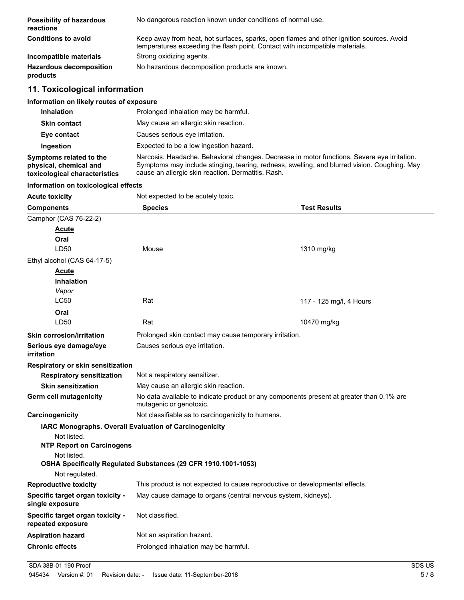| <b>Possibility of hazardous</b><br>reactions | No dangerous reaction known under conditions of normal use.                                                                                                              |
|----------------------------------------------|--------------------------------------------------------------------------------------------------------------------------------------------------------------------------|
| <b>Conditions to avoid</b>                   | Keep away from heat, hot surfaces, sparks, open flames and other ignition sources. Avoid<br>temperatures exceeding the flash point. Contact with incompatible materials. |
| Incompatible materials                       | Strong oxidizing agents.                                                                                                                                                 |
| <b>Hazardous decomposition</b><br>products   | No hazardous decomposition products are known.                                                                                                                           |

# **11. Toxicological information**

# **Information on likely routes of exposure**

| <b>Inhalation</b>                                                                  | Prolonged inhalation may be harmful.                                                                                                                                                                                                              |
|------------------------------------------------------------------------------------|---------------------------------------------------------------------------------------------------------------------------------------------------------------------------------------------------------------------------------------------------|
| <b>Skin contact</b>                                                                | May cause an allergic skin reaction.                                                                                                                                                                                                              |
| Eye contact                                                                        | Causes serious eye irritation.                                                                                                                                                                                                                    |
| Ingestion                                                                          | Expected to be a low ingestion hazard.                                                                                                                                                                                                            |
| Symptoms related to the<br>physical, chemical and<br>toxicological characteristics | Narcosis. Headache. Behavioral changes. Decrease in motor functions. Severe eye irritation.<br>Symptoms may include stinging, tearing, redness, swelling, and blurred vision. Coughing. May<br>cause an allergic skin reaction. Dermatitis. Rash. |

#### **Information on toxicological effects**

| Not expected to be acutely toxic.                                                                                   |                         |
|---------------------------------------------------------------------------------------------------------------------|-------------------------|
| <b>Species</b>                                                                                                      | <b>Test Results</b>     |
|                                                                                                                     |                         |
|                                                                                                                     |                         |
|                                                                                                                     |                         |
| Mouse                                                                                                               | 1310 mg/kg              |
|                                                                                                                     |                         |
|                                                                                                                     |                         |
|                                                                                                                     |                         |
|                                                                                                                     |                         |
|                                                                                                                     | 117 - 125 mg/l, 4 Hours |
|                                                                                                                     |                         |
|                                                                                                                     | 10470 mg/kg             |
| Prolonged skin contact may cause temporary irritation.                                                              |                         |
| Causes serious eye irritation.                                                                                      |                         |
|                                                                                                                     |                         |
| Not a respiratory sensitizer.                                                                                       |                         |
| May cause an allergic skin reaction.                                                                                |                         |
| No data available to indicate product or any components present at greater than 0.1% are<br>mutagenic or genotoxic. |                         |
| Not classifiable as to carcinogenicity to humans.                                                                   |                         |
| IARC Monographs. Overall Evaluation of Carcinogenicity                                                              |                         |
|                                                                                                                     |                         |
|                                                                                                                     |                         |
| OSHA Specifically Regulated Substances (29 CFR 1910.1001-1053)                                                      |                         |
| This product is not expected to cause reproductive or developmental effects.                                        |                         |
| May cause damage to organs (central nervous system, kidneys).                                                       |                         |
| Not classified.                                                                                                     |                         |
| Not an aspiration hazard.                                                                                           |                         |
| Prolonged inhalation may be harmful.                                                                                |                         |
|                                                                                                                     | Rat<br>Rat              |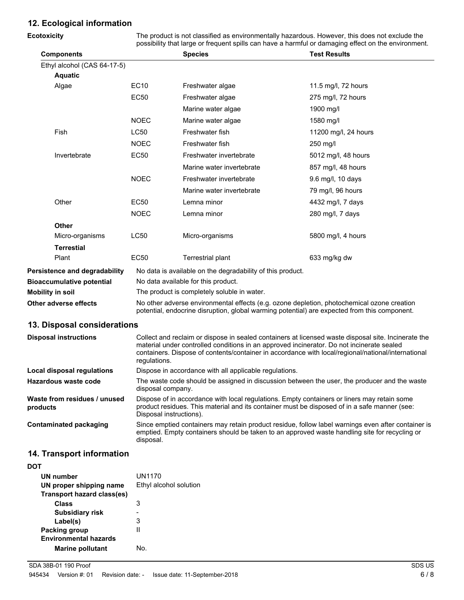# **12. Ecological information**

| Ecotoxicity                          |                                                                                                                                                                                                                                                                                                        | The product is not classified as environmentally hazardous. However, this does not exclude the<br>possibility that large or frequent spills can have a harmful or damaging effect on the environment. |                      |  |
|--------------------------------------|--------------------------------------------------------------------------------------------------------------------------------------------------------------------------------------------------------------------------------------------------------------------------------------------------------|-------------------------------------------------------------------------------------------------------------------------------------------------------------------------------------------------------|----------------------|--|
| <b>Components</b>                    |                                                                                                                                                                                                                                                                                                        | <b>Species</b>                                                                                                                                                                                        | <b>Test Results</b>  |  |
| Ethyl alcohol (CAS 64-17-5)          |                                                                                                                                                                                                                                                                                                        |                                                                                                                                                                                                       |                      |  |
| <b>Aquatic</b>                       |                                                                                                                                                                                                                                                                                                        |                                                                                                                                                                                                       |                      |  |
| Algae                                | <b>EC10</b>                                                                                                                                                                                                                                                                                            | Freshwater algae                                                                                                                                                                                      | 11.5 mg/l, 72 hours  |  |
|                                      | <b>EC50</b>                                                                                                                                                                                                                                                                                            | Freshwater algae                                                                                                                                                                                      | 275 mg/l, 72 hours   |  |
|                                      |                                                                                                                                                                                                                                                                                                        | Marine water algae                                                                                                                                                                                    | 1900 mg/l            |  |
|                                      | <b>NOEC</b>                                                                                                                                                                                                                                                                                            | Marine water algae                                                                                                                                                                                    | 1580 mg/l            |  |
| Fish                                 | <b>LC50</b>                                                                                                                                                                                                                                                                                            | Freshwater fish                                                                                                                                                                                       | 11200 mg/l, 24 hours |  |
|                                      | <b>NOEC</b>                                                                                                                                                                                                                                                                                            | Freshwater fish                                                                                                                                                                                       | 250 mg/l             |  |
| Invertebrate                         | <b>EC50</b>                                                                                                                                                                                                                                                                                            | Freshwater invertebrate                                                                                                                                                                               | 5012 mg/l, 48 hours  |  |
|                                      |                                                                                                                                                                                                                                                                                                        | Marine water invertebrate                                                                                                                                                                             | 857 mg/l, 48 hours   |  |
|                                      | <b>NOEC</b>                                                                                                                                                                                                                                                                                            | Freshwater invertebrate                                                                                                                                                                               | 9.6 mg/l, 10 days    |  |
|                                      |                                                                                                                                                                                                                                                                                                        | Marine water invertebrate                                                                                                                                                                             | 79 mg/l, 96 hours    |  |
| Other                                | <b>EC50</b>                                                                                                                                                                                                                                                                                            | Lemna minor                                                                                                                                                                                           | 4432 mg/l, 7 days    |  |
|                                      | <b>NOEC</b>                                                                                                                                                                                                                                                                                            | Lemna minor                                                                                                                                                                                           | 280 mg/l, 7 days     |  |
| <b>Other</b>                         |                                                                                                                                                                                                                                                                                                        |                                                                                                                                                                                                       |                      |  |
| Micro-organisms                      | <b>LC50</b>                                                                                                                                                                                                                                                                                            | Micro-organisms                                                                                                                                                                                       | 5800 mg/l, 4 hours   |  |
| <b>Terrestial</b>                    |                                                                                                                                                                                                                                                                                                        |                                                                                                                                                                                                       |                      |  |
| Plant                                | <b>EC50</b>                                                                                                                                                                                                                                                                                            | Terrestrial plant                                                                                                                                                                                     | 633 mg/kg dw         |  |
| <b>Persistence and degradability</b> |                                                                                                                                                                                                                                                                                                        | No data is available on the degradability of this product.                                                                                                                                            |                      |  |
| <b>Bioaccumulative potential</b>     |                                                                                                                                                                                                                                                                                                        | No data available for this product.                                                                                                                                                                   |                      |  |
| Mobility in soil                     |                                                                                                                                                                                                                                                                                                        | The product is completely soluble in water.                                                                                                                                                           |                      |  |
| Other adverse effects                | No other adverse environmental effects (e.g. ozone depletion, photochemical ozone creation<br>potential, endocrine disruption, global warming potential) are expected from this component.                                                                                                             |                                                                                                                                                                                                       |                      |  |
| 13. Disposal considerations          |                                                                                                                                                                                                                                                                                                        |                                                                                                                                                                                                       |                      |  |
| <b>Disposal instructions</b>         | Collect and reclaim or dispose in sealed containers at licensed waste disposal site. Incinerate the<br>material under controlled conditions in an approved incinerator. Do not incinerate sealed<br>containers. Dispose of contents/container in accordance with local/regional/national/international |                                                                                                                                                                                                       |                      |  |

|                                          | containers. Dispose of contents/container in accordance with local/regional/national/international<br>regulations.                                                                                                     |
|------------------------------------------|------------------------------------------------------------------------------------------------------------------------------------------------------------------------------------------------------------------------|
| Local disposal regulations               | Dispose in accordance with all applicable regulations.                                                                                                                                                                 |
| Hazardous waste code                     | The waste code should be assigned in discussion between the user, the producer and the waste<br>disposal company.                                                                                                      |
| Waste from residues / unused<br>products | Dispose of in accordance with local regulations. Empty containers or liners may retain some<br>product residues. This material and its container must be disposed of in a safe manner (see:<br>Disposal instructions). |
| Contaminated packaging                   | Since emptied containers may retain product residue, follow label warnings even after container is<br>emptied. Empty containers should be taken to an approved waste handling site for recycling or<br>disposal.       |

# **14. Transport information**

| DOT |                              |                        |
|-----|------------------------------|------------------------|
|     | UN number                    | UN1170                 |
|     | UN proper shipping name      | Ethyl alcohol solution |
|     | Transport hazard class(es)   |                        |
|     | <b>Class</b>                 | 3                      |
|     | <b>Subsidiary risk</b>       | -                      |
|     | Label(s)                     | 3                      |
|     | Packing group                | Ш                      |
|     | <b>Environmental hazards</b> |                        |
|     | <b>Marine pollutant</b>      | Nο.                    |
|     |                              |                        |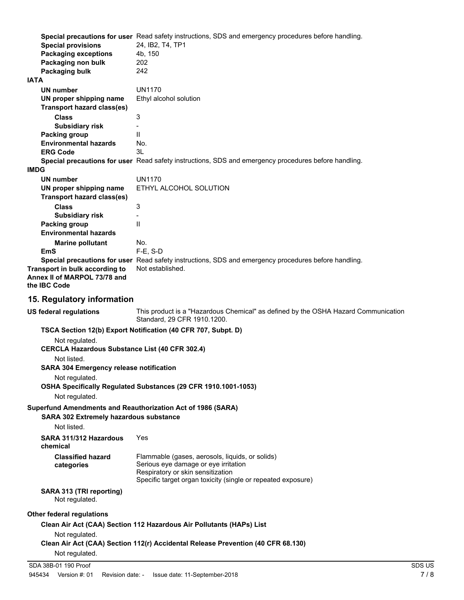|             | <b>Special provisions</b><br><b>Packaging exceptions</b><br>Packaging non bulk<br>Packaging bulk                     | Special precautions for user Read safety instructions, SDS and emergency procedures before handling.<br>24, IB2, T4, TP1<br>4b, 150<br>202<br>242                                            |        |  |  |
|-------------|----------------------------------------------------------------------------------------------------------------------|----------------------------------------------------------------------------------------------------------------------------------------------------------------------------------------------|--------|--|--|
| <b>IATA</b> |                                                                                                                      |                                                                                                                                                                                              |        |  |  |
|             | <b>UN number</b>                                                                                                     | <b>UN1170</b>                                                                                                                                                                                |        |  |  |
|             | UN proper shipping name                                                                                              | Ethyl alcohol solution                                                                                                                                                                       |        |  |  |
|             | <b>Transport hazard class(es)</b>                                                                                    |                                                                                                                                                                                              |        |  |  |
|             | <b>Class</b>                                                                                                         | 3                                                                                                                                                                                            |        |  |  |
|             | <b>Subsidiary risk</b><br><b>Packing group</b>                                                                       | $\mathbf{H}$                                                                                                                                                                                 |        |  |  |
|             | <b>Environmental hazards</b>                                                                                         | No.                                                                                                                                                                                          |        |  |  |
|             | <b>ERG Code</b>                                                                                                      | 3L                                                                                                                                                                                           |        |  |  |
| <b>IMDG</b> |                                                                                                                      | Special precautions for user Read safety instructions, SDS and emergency procedures before handling.                                                                                         |        |  |  |
|             | <b>UN number</b>                                                                                                     | <b>UN1170</b>                                                                                                                                                                                |        |  |  |
|             | UN proper shipping name                                                                                              | ETHYL ALCOHOL SOLUTION                                                                                                                                                                       |        |  |  |
|             | <b>Transport hazard class(es)</b><br><b>Class</b>                                                                    | 3                                                                                                                                                                                            |        |  |  |
|             | <b>Subsidiary risk</b>                                                                                               |                                                                                                                                                                                              |        |  |  |
|             | Packing group                                                                                                        | Ш                                                                                                                                                                                            |        |  |  |
|             | <b>Environmental hazards</b>                                                                                         |                                                                                                                                                                                              |        |  |  |
|             | <b>Marine pollutant</b>                                                                                              | No.                                                                                                                                                                                          |        |  |  |
|             | EmS                                                                                                                  | $F-E$ , S-D                                                                                                                                                                                  |        |  |  |
|             | Transport in bulk according to<br>Annex II of MARPOL 73/78 and<br>the IBC Code                                       | Special precautions for user Read safety instructions, SDS and emergency procedures before handling.<br>Not established.                                                                     |        |  |  |
|             | 15. Regulatory information                                                                                           |                                                                                                                                                                                              |        |  |  |
|             | <b>US federal regulations</b>                                                                                        | This product is a "Hazardous Chemical" as defined by the OSHA Hazard Communication<br>Standard, 29 CFR 1910.1200.                                                                            |        |  |  |
|             | TSCA Section 12(b) Export Notification (40 CFR 707, Subpt. D)                                                        |                                                                                                                                                                                              |        |  |  |
|             | Not regulated.<br><b>CERCLA Hazardous Substance List (40 CFR 302.4)</b>                                              |                                                                                                                                                                                              |        |  |  |
|             | Not listed.                                                                                                          |                                                                                                                                                                                              |        |  |  |
|             | <b>SARA 304 Emergency release notification</b>                                                                       |                                                                                                                                                                                              |        |  |  |
|             | Not regulated.<br>OSHA Specifically Regulated Substances (29 CFR 1910.1001-1053)                                     |                                                                                                                                                                                              |        |  |  |
|             | Not regulated.                                                                                                       |                                                                                                                                                                                              |        |  |  |
|             | Superfund Amendments and Reauthorization Act of 1986 (SARA)<br><b>SARA 302 Extremely hazardous substance</b>         |                                                                                                                                                                                              |        |  |  |
|             | Not listed.                                                                                                          |                                                                                                                                                                                              |        |  |  |
|             | SARA 311/312 Hazardous<br>chemical                                                                                   | Yes                                                                                                                                                                                          |        |  |  |
|             | <b>Classified hazard</b><br>categories                                                                               | Flammable (gases, aerosols, liquids, or solids)<br>Serious eye damage or eye irritation<br>Respiratory or skin sensitization<br>Specific target organ toxicity (single or repeated exposure) |        |  |  |
|             | SARA 313 (TRI reporting)<br>Not regulated.                                                                           |                                                                                                                                                                                              |        |  |  |
|             | Other federal regulations                                                                                            |                                                                                                                                                                                              |        |  |  |
|             | Clean Air Act (CAA) Section 112 Hazardous Air Pollutants (HAPs) List                                                 |                                                                                                                                                                                              |        |  |  |
|             | Not regulated.<br>Clean Air Act (CAA) Section 112(r) Accidental Release Prevention (40 CFR 68.130)<br>Not regulated. |                                                                                                                                                                                              |        |  |  |
|             | SDA 38B-01 190 Proof                                                                                                 |                                                                                                                                                                                              | SDS US |  |  |
|             |                                                                                                                      |                                                                                                                                                                                              |        |  |  |